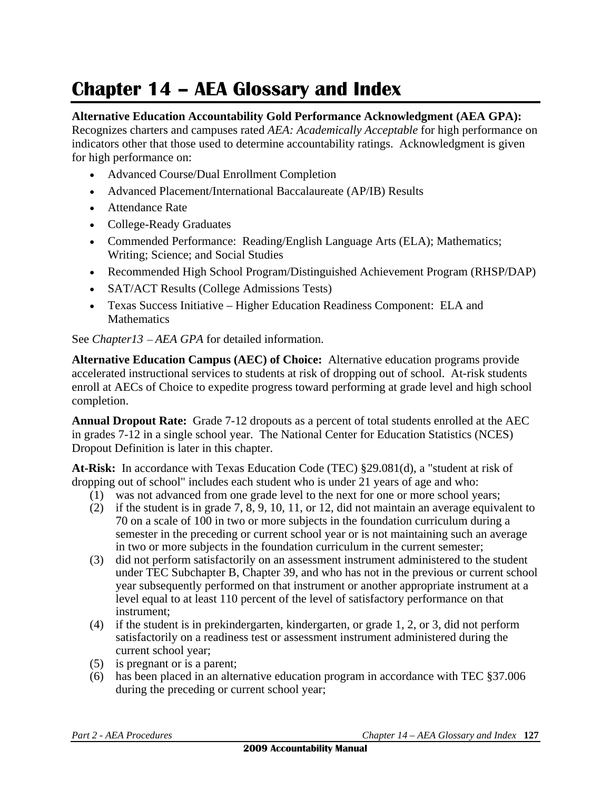## **Chapter 14 – AEA Glossary and Index**

## **Alternative Education Accountability Gold Performance Acknowledgment (AEA GPA):**

Recognizes charters and campuses rated *AEA: Academically Acceptable* for high performance on indicators other that those used to determine accountability ratings. Acknowledgment is given for high performance on:

- Advanced Course/Dual Enrollment Completion
- Advanced Placement/International Baccalaureate (AP/IB) Results
- Attendance Rate
- College-Ready Graduates
- Commended Performance: Reading/English Language Arts (ELA); Mathematics; Writing; Science; and Social Studies
- Recommended High School Program/Distinguished Achievement Program (RHSP/DAP)
- SAT/ACT Results (College Admissions Tests)
- Texas Success Initiative Higher Education Readiness Component: ELA and **Mathematics**

See *Chapter13 – AEA GPA* for detailed information.

**Alternative Education Campus (AEC) of Choice:** Alternative education programs provide accelerated instructional services to students at risk of dropping out of school. At-risk students enroll at AECs of Choice to expedite progress toward performing at grade level and high school completion.

**Annual Dropout Rate:** Grade 7-12 dropouts as a percent of total students enrolled at the AEC in grades 7-12 in a single school year. The National Center for Education Statistics (NCES) Dropout Definition is later in this chapter.

**At-Risk:** In accordance with Texas Education Code (TEC) §29.081(d), a "student at risk of dropping out of school" includes each student who is under 21 years of age and who:

- (1) was not advanced from one grade level to the next for one or more school years;
- (2) if the student is in grade 7, 8, 9, 10, 11, or 12, did not maintain an average equivalent to 70 on a scale of 100 in two or more subjects in the foundation curriculum during a semester in the preceding or current school year or is not maintaining such an average in two or more subjects in the foundation curriculum in the current semester;
- (3) did not perform satisfactorily on an assessment instrument administered to the student under TEC Subchapter B, Chapter 39, and who has not in the previous or current school year subsequently performed on that instrument or another appropriate instrument at a level equal to at least 110 percent of the level of satisfactory performance on that instrument;
- (4) if the student is in prekindergarten, kindergarten, or grade 1, 2, or 3, did not perform satisfactorily on a readiness test or assessment instrument administered during the current school year;
- (5) is pregnant or is a parent;
- (6) has been placed in an alternative education program in accordance with TEC §37.006 during the preceding or current school year;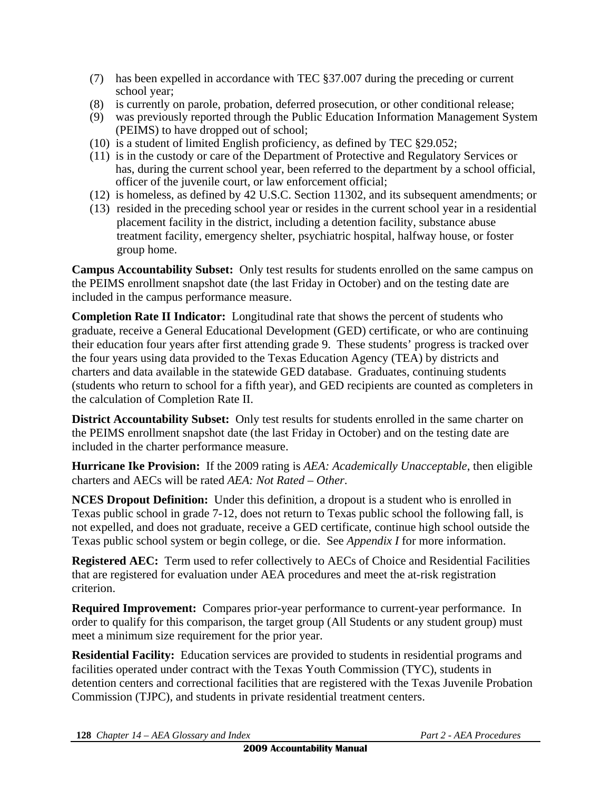- (7) has been expelled in accordance with TEC §37.007 during the preceding or current school year;
- (8) is currently on parole, probation, deferred prosecution, or other conditional release;
- (9) was previously reported through the Public Education Information Management System (PEIMS) to have dropped out of school;
- (10) is a student of limited English proficiency, as defined by TEC §29.052;
- (11) is in the custody or care of the Department of Protective and Regulatory Services or has, during the current school year, been referred to the department by a school official, officer of the juvenile court, or law enforcement official;
- (12) is homeless, as defined by 42 U.S.C. Section 11302, and its subsequent amendments; or
- (13) resided in the preceding school year or resides in the current school year in a residential placement facility in the district, including a detention facility, substance abuse treatment facility, emergency shelter, psychiatric hospital, halfway house, or foster group home.

**Campus Accountability Subset:** Only test results for students enrolled on the same campus on the PEIMS enrollment snapshot date (the last Friday in October) and on the testing date are included in the campus performance measure.

**Completion Rate II Indicator:** Longitudinal rate that shows the percent of students who graduate, receive a General Educational Development (GED) certificate, or who are continuing their education four years after first attending grade 9. These students' progress is tracked over the four years using data provided to the Texas Education Agency (TEA) by districts and charters and data available in the statewide GED database. Graduates, continuing students (students who return to school for a fifth year), and GED recipients are counted as completers in the calculation of Completion Rate II.

**District Accountability Subset:** Only test results for students enrolled in the same charter on the PEIMS enrollment snapshot date (the last Friday in October) and on the testing date are included in the charter performance measure.

**Hurricane Ike Provision:** If the 2009 rating is *AEA: Academically Unacceptable*, then eligible charters and AECs will be rated *AEA: Not Rated – Other*.

**NCES Dropout Definition:** Under this definition, a dropout is a student who is enrolled in Texas public school in grade 7-12, does not return to Texas public school the following fall, is not expelled, and does not graduate, receive a GED certificate, continue high school outside the Texas public school system or begin college, or die. See *Appendix I* for more information.

**Registered AEC:** Term used to refer collectively to AECs of Choice and Residential Facilities that are registered for evaluation under AEA procedures and meet the at-risk registration criterion.

**Required Improvement:** Compares prior-year performance to current-year performance. In order to qualify for this comparison, the target group (All Students or any student group) must meet a minimum size requirement for the prior year.

**Residential Facility:** Education services are provided to students in residential programs and facilities operated under contract with the Texas Youth Commission (TYC), students in detention centers and correctional facilities that are registered with the Texas Juvenile Probation Commission (TJPC), and students in private residential treatment centers.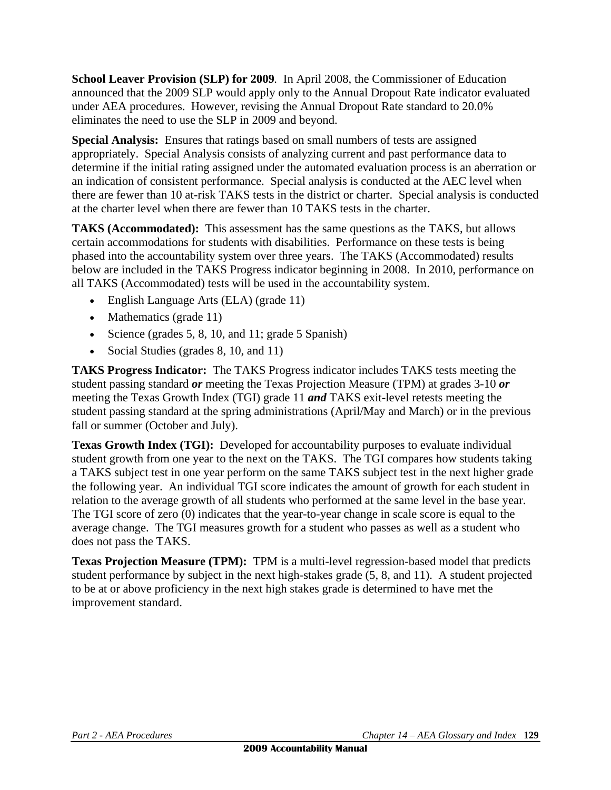**School Leaver Provision (SLP) for 2009***.* In April 2008, the Commissioner of Education announced that the 2009 SLP would apply only to the Annual Dropout Rate indicator evaluated under AEA procedures. However, revising the Annual Dropout Rate standard to 20.0% eliminates the need to use the SLP in 2009 and beyond.

**Special Analysis:** Ensures that ratings based on small numbers of tests are assigned appropriately. Special Analysis consists of analyzing current and past performance data to determine if the initial rating assigned under the automated evaluation process is an aberration or an indication of consistent performance. Special analysis is conducted at the AEC level when there are fewer than 10 at-risk TAKS tests in the district or charter. Special analysis is conducted at the charter level when there are fewer than 10 TAKS tests in the charter.

**TAKS (Accommodated):** This assessment has the same questions as the TAKS, but allows certain accommodations for students with disabilities. Performance on these tests is being phased into the accountability system over three years. The TAKS (Accommodated) results below are included in the TAKS Progress indicator beginning in 2008. In 2010, performance on all TAKS (Accommodated) tests will be used in the accountability system.

- English Language Arts (ELA) (grade 11)
- Mathematics (grade  $11$ )
- Science (grades  $5, 8, 10$ , and  $11$ ; grade  $5$  Spanish)
- Social Studies (grades 8, 10, and 11)

**TAKS Progress Indicator:** The TAKS Progress indicator includes TAKS tests meeting the student passing standard *or* meeting the Texas Projection Measure (TPM) at grades 3-10 *or* meeting the Texas Growth Index (TGI) grade 11 *and* TAKS exit-level retests meeting the student passing standard at the spring administrations (April/May and March) or in the previous fall or summer (October and July).

**Texas Growth Index (TGI):** Developed for accountability purposes to evaluate individual student growth from one year to the next on the TAKS. The TGI compares how students taking a TAKS subject test in one year perform on the same TAKS subject test in the next higher grade the following year. An individual TGI score indicates the amount of growth for each student in relation to the average growth of all students who performed at the same level in the base year. The TGI score of zero (0) indicates that the year-to-year change in scale score is equal to the average change. The TGI measures growth for a student who passes as well as a student who does not pass the TAKS.

**Texas Projection Measure (TPM):** TPM is a multi-level regression-based model that predicts student performance by subject in the next high-stakes grade (5, 8, and 11). A student projected to be at or above proficiency in the next high stakes grade is determined to have met the improvement standard.